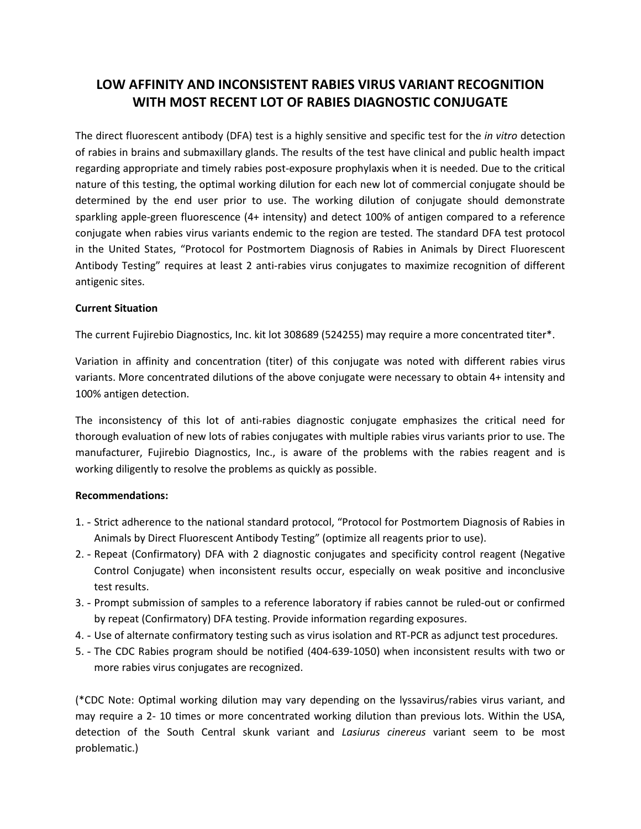## LOW AFFINITY AND INCONSISTENT RABIES VIRUS VARIANT RECOGNITION WITH MOST RECENT LOT OF RABIES DIAGNOSTIC CONJUGATE

The direct fluorescent antibody (DFA) test is a highly sensitive and specific test for the *in vitro* detection of rabies in brains and submaxillary glands. The results of the test have clinical and public health impact regarding appropriate and timely rabies post-exposure prophylaxis when it is needed. Due to the critical nature of this testing, the optimal working dilution for each new lot of commercial conjugate should be determined by the end user prior to use. The working dilution of conjugate should demonstrate sparkling apple-green fluorescence (4+ intensity) and detect 100% of antigen compared to a reference conjugate when rabies virus variants endemic to the region are tested. The standard DFA test protocol in the United States, "Protocol for Postmortem Diagnosis of Rabies in Animals by Direct Fluorescent Antibody Testing" requires at least 2 anti-rabies virus conjugates to maximize recognition of different antigenic sites.

#### Current Situation

The current Fujirebio Diagnostics, Inc. kit lot 308689 (524255) may require a more concentrated titer\*.

 Variation in affinity and concentration (titer) of this conjugate was noted with different rabies virus variants. More concentrated dilutions of the above conjugate were necessary to obtain 4+ intensity and 100% antigen detection.

 The inconsistency of this lot of anti-rabies diagnostic conjugate emphasizes the critical need for thorough evaluation of new lots of rabies conjugates with multiple rabies virus variants prior to use. The manufacturer, Fujirebio Diagnostics, Inc., is aware of the problems with the rabies reagent and is working diligently to resolve the problems as quickly as possible.

#### Recommendations:

- 1. Strict adherence to the national standard protocol, "Protocol for Postmortem Diagnosis of Rabies in Animals by Direct Fluorescent Antibody Testing" (optimize all reagents prior to use).
- 2. Repeat (Confirmatory) DFA with 2 diagnostic conjugates and specificity control reagent (Negative Control Conjugate) when inconsistent results occur, especially on weak positive and inconclusive test results.
- 3. Prompt submission of samples to a reference laboratory if rabies cannot be ruled-out or confirmed by repeat (Confirmatory) DFA testing. Provide information regarding exposures.
- 4. Use of alternate confirmatory testing such as virus isolation and RT-PCR as adjunct test procedures.
- 5. The CDC Rabies program should be notified (404-639-1050) when inconsistent results with two or more rabies virus conjugates are recognized.

 (\*CDC Note: Optimal working dilution may vary depending on the lyssavirus/rabies virus variant, and may require a 2- 10 times or more concentrated working dilution than previous lots. Within the USA, detection of the South Central skunk variant and Lasiurus cinereus variant seem to be most problematic.)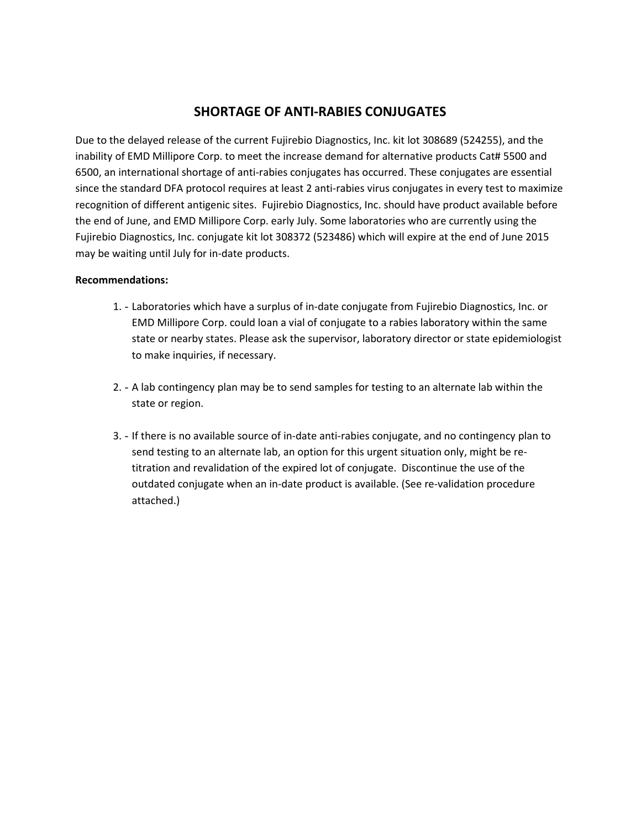## SHORTAGE OF ANTI-RABIES CONJUGATES

 Due to the delayed release of the current Fujirebio Diagnostics, Inc. kit lot 308689 (524255), and the inability of EMD Millipore Corp. to meet the increase demand for alternative products Cat# 5500 and 6500, an international shortage of anti-rabies conjugates has occurred. These conjugates are essential since the standard DFA protocol requires at least 2 anti-rabies virus conjugates in every test to maximize recognition of different antigenic sites. Fujirebio Diagnostics, Inc. should have product available before the end of June, and EMD Millipore Corp. early July. Some laboratories who are currently using the Fujirebio Diagnostics, Inc. conjugate kit lot 308372 (523486) which will expire at the end of June 2015 may be waiting until July for in-date products.

#### Recommendations:

- 1. Laboratories which have a surplus of in-date conjugate from Fujirebio Diagnostics, Inc. or EMD Millipore Corp. could loan a vial of conjugate to a rabies laboratory within the same state or nearby states. Please ask the supervisor, laboratory director or state epidemiologist to make inquiries, if necessary.
- 2. A lab contingency plan may be to send samples for testing to an alternate lab within the state or region.
- 3. If there is no available source of in-date anti-rabies conjugate, and no contingency plan to send testing to an alternate lab, an option for this urgent situation only, might be re- titration and revalidation of the expired lot of conjugate. Discontinue the use of the outdated conjugate when an in-date product is available. (See re-validation procedure attached.)